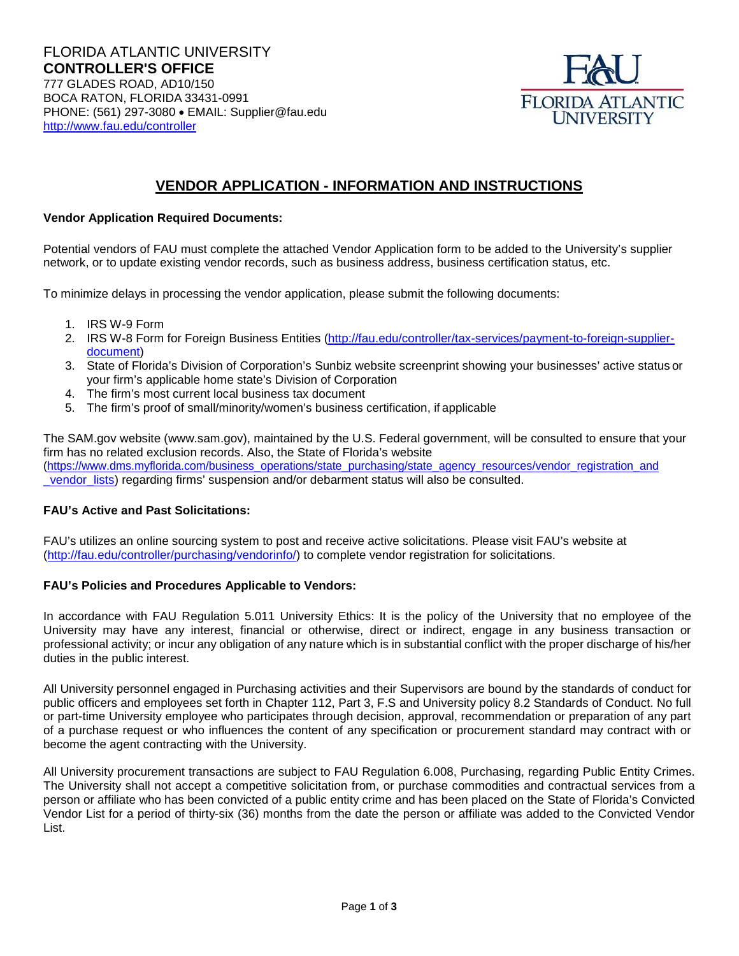

# **VENDOR APPLICATION - INFORMATION AND INSTRUCTIONS**

### **Vendor Application Required Documents:**

Potential vendors of FAU must complete the attached Vendor Application form to be added to the University's supplier network, or to update existing vendor records, such as business address, business certification status, etc.

To minimize delays in processing the vendor application, please submit the following documents:

- 1. IRS W-9 Form
- 2. IRS W-8 Form for Foreign Business Entities [\(http://fau.edu/controller/tax-services/payment-to-foreign-supplier](http://fau.edu/controller/tax-services/payment-to-foreign-supplier-document)[document\)](http://fau.edu/controller/tax-services/payment-to-foreign-supplier-document)
- 3. State of Florida's Division of Corporation's Sunbiz website screenprint showing your businesses' active status or your firm's applicable home state's Division of Corporation
- 4. The firm's most current local business tax document
- 5. The firm's proof of small/minority/women's business certification, if applicable

The SAM.gov website (www.sam.gov), maintained by the U.S. Federal government, will be consulted to ensure that your firm has no related exclusion records. Also, the State of Florida's website [\(https://www.dms.myflorida.com/business\\_operations/state\\_purchasing/state\\_agency\\_resources/vendor\\_registration\\_and](https://www.dms.myflorida.com/business_operations/state_purchasing/state_agency_resources/vendor_registration_and_vendor_lists) [\\_vendor\\_lists\)](https://www.dms.myflorida.com/business_operations/state_purchasing/state_agency_resources/vendor_registration_and_vendor_lists) regarding firms' suspension and/or debarment status will also be consulted.

#### **FAU's Active and Past Solicitations:**

FAU's utilizes an online sourcing system to post and receive active solicitations. Please visit FAU's website at [\(http://fau.edu/controller/purchasing/vendorinfo/\)](http://fau.edu/controller/purchasing/vendorinfo/) to complete vendor registration for solicitations.

#### **FAU's Policies and Procedures Applicable to Vendors:**

In accordance with FAU Regulation 5.011 University Ethics: It is the policy of the University that no employee of the University may have any interest, financial or otherwise, direct or indirect, engage in any business transaction or professional activity; or incur any obligation of any nature which is in substantial conflict with the proper discharge of his/her duties in the public interest.

All University personnel engaged in Purchasing activities and their Supervisors are bound by the standards of conduct for public officers and employees set forth in Chapter 112, Part 3, F.S and University policy 8.2 Standards of Conduct. No full or part-time University employee who participates through decision, approval, recommendation or preparation of any part of a purchase request or who influences the content of any specification or procurement standard may contract with or become the agent contracting with the University.

All University procurement transactions are subject to FAU Regulation 6.008, Purchasing, regarding Public Entity Crimes. The University shall not accept a competitive solicitation from, or purchase commodities and contractual services from a person or affiliate who has been convicted of a public entity crime and has been placed on the State of Florida's Convicted Vendor List for a period of thirty-six (36) months from the date the person or affiliate was added to the Convicted Vendor List.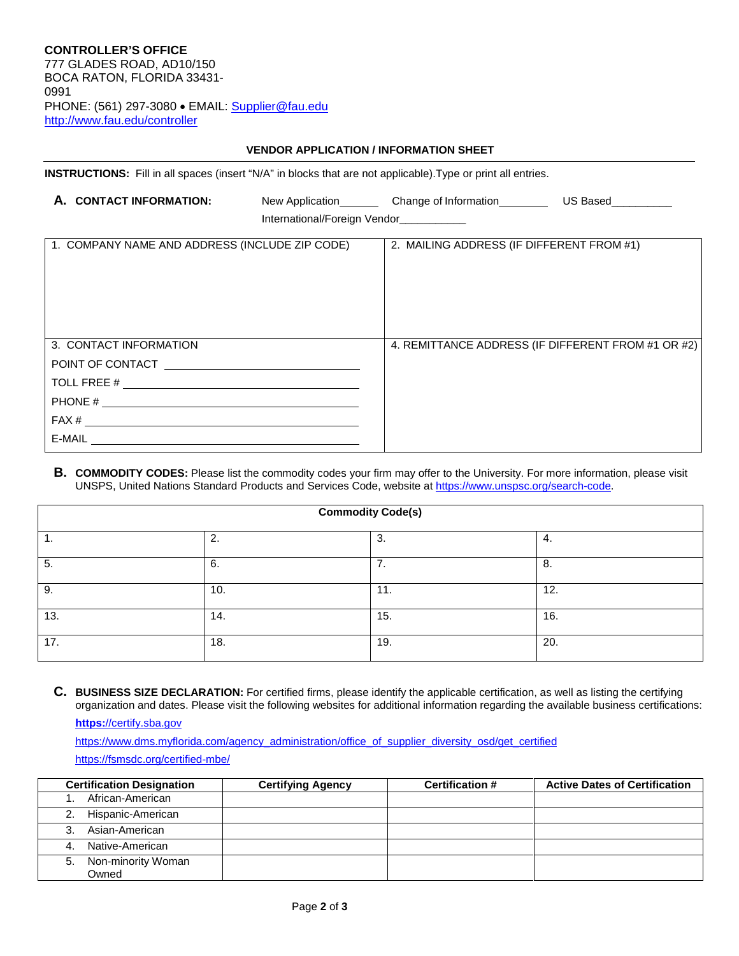**CONTROLLER'S OFFICE**  777 GLADES ROAD, AD10/150 BOCA RATON, FLORIDA 33431- 0991 PHONE: (561) 297-3080 • EMAIL: [Supplier@fau.edu](mailto:Supplier@fau.edu) http://www.fau.edu/controller

#### **VENDOR APPLICATION / INFORMATION SHEET**

**INSTRUCTIONS:** Fill in all spaces (insert "N/A" in blocks that are not applicable).Type or print all entries.

| A. CONTACT INFORMATION:                                                                                   |                                        | New Application____________ Change of Information________________________________ |  |
|-----------------------------------------------------------------------------------------------------------|----------------------------------------|-----------------------------------------------------------------------------------|--|
|                                                                                                           | International/Foreign Vendor__________ |                                                                                   |  |
| 1. COMPANY NAME AND ADDRESS (INCLUDE ZIP CODE)                                                            |                                        | 2. MAILING ADDRESS (IF DIFFERENT FROM #1)                                         |  |
| 3. CONTACT INFORMATION<br>POINT OF CONTACT POINT OF CONTACT<br>FAX #<br>$E-MAIL$ $\overline{\phantom{a}}$ |                                        | 4. REMITTANCE ADDRESS (IF DIFFERENT FROM #1 OR #2)                                |  |

**B. COMMODITY CODES:** Please list the commodity codes your firm may offer to the University. For more information, please visit UNSPS, United Nations Standard Products and Services Code, website at [https://www.unspsc.org/search-code.](https://www.unspsc.org/search-code)

| <b>Commodity Code(s)</b> |         |          |     |  |  |
|--------------------------|---------|----------|-----|--|--|
| . .                      | ົ<br>z. | 3.       | 4.  |  |  |
| 5.                       | 6.      | ⇁<br>. . | 8.  |  |  |
| 9.                       | 10.     | 11.      | 12. |  |  |
| 13.                      | 14.     | 15.      | 16. |  |  |
| 17.                      | 18.     | 19.      | 20. |  |  |

**C. BUSINESS SIZE DECLARATION:** For certified firms, please identify the applicable certification, as well as listing the certifying organization and dates. Please visit the following websites for additional information regarding the available business certifications:

**https:**[//certify.sba.gov](https://certify.sba.gov/) 

[https://www.dms.myflorida.com/agency\\_administration/office\\_of\\_supplier\\_diversity\\_osd/get\\_certified](https://www.dms.myflorida.com/agency_administration/office_of_supplier_diversity_osd/get_certified) <https://fsmsdc.org/certified-mbe/>

|    | <b>Certification Designation</b> | <b>Certifying Agency</b> | <b>Certification #</b> | <b>Active Dates of Certification</b> |
|----|----------------------------------|--------------------------|------------------------|--------------------------------------|
|    | African-American                 |                          |                        |                                      |
|    | Hispanic-American                |                          |                        |                                      |
|    | Asian-American                   |                          |                        |                                      |
| 4. | Native-American                  |                          |                        |                                      |
| 5. | Non-minority Woman               |                          |                        |                                      |
|    | Owned                            |                          |                        |                                      |